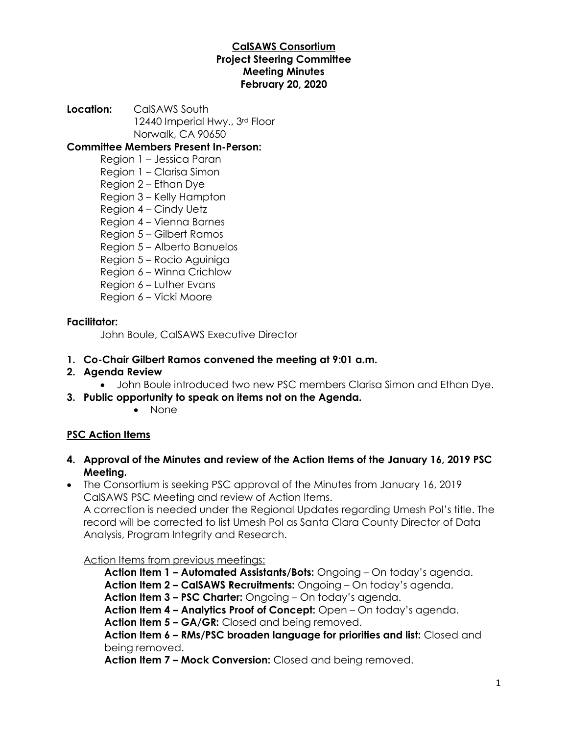#### **CalSAWS Consortium Project Steering Committee Meeting Minutes February 20, 2020**

**Location:** CalSAWS South 12440 Imperial Hwy., 3rd Floor Norwalk, CA 90650

**Committee Members Present In-Person:**

- Region 1 Jessica Paran
- Region 1 Clarisa Simon
- Region 2 Ethan Dye
- Region 3 Kelly Hampton
- Region 4 Cindy Uetz
- Region 4 Vienna Barnes
- Region 5 Gilbert Ramos
- Region 5 Alberto Banuelos
- Region 5 Rocio Aguiniga
- Region 6 Winna Crichlow
- Region 6 Luther Evans
- Region 6 Vicki Moore

#### **Facilitator:**

John Boule, CalSAWS Executive Director

#### **1. Co-Chair Gilbert Ramos convened the meeting at 9:01 a.m.**

- **2. Agenda Review**
	- John Boule introduced two new PSC members Clarisa Simon and Ethan Dye.
- **3. Public opportunity to speak on items not on the Agenda.**
	- None

## **PSC Action Items**

- **4. Approval of the Minutes and review of the Action Items of the January 16, 2019 PSC Meeting.**
- The Consortium is seeking PSC approval of the Minutes from January 16, 2019 CalSAWS PSC Meeting and review of Action Items.

A correction is needed under the Regional Updates regarding Umesh Pol's title. The record will be corrected to list Umesh Pol as Santa Clara County Director of Data Analysis, Program Integrity and Research.

Action Items from previous meetings:

**Action Item 1 – Automated Assistants/Bots:** Ongoing – On today's agenda.

**Action Item 2 – CalSAWS Recruitments:** Ongoing – On today's agenda.

**Action Item 3 – PSC Charter:** Ongoing – On today's agenda.

**Action Item 4 – Analytics Proof of Concept:** Open – On today's agenda.

**Action Item 5 – GA/GR:** Closed and being removed.

**Action Item 6 – RMs/PSC broaden language for priorities and list:** Closed and being removed.

**Action Item 7 – Mock Conversion:** Closed and being removed.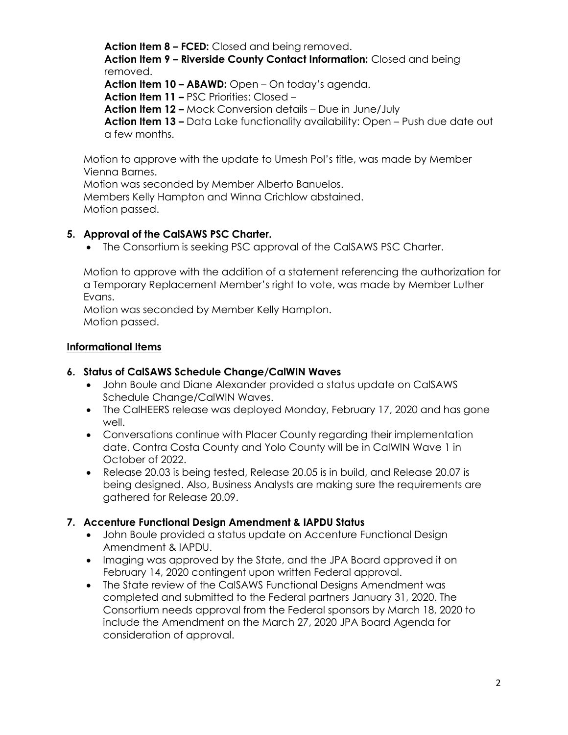**Action Item 8 – FCED:** Closed and being removed. **Action Item 9 – Riverside County Contact Information:** Closed and being removed. **Action Item 10 – ABAWD:** Open – On today's agenda. **Action Item 11 –** PSC Priorities: Closed – **Action Item 12 –** Mock Conversion details – Due in June/July **Action Item 13 –** Data Lake functionality availability: Open – Push due date out a few months.

Motion to approve with the update to Umesh Pol's title, was made by Member Vienna Barnes.

Motion was seconded by Member Alberto Banuelos.

Members Kelly Hampton and Winna Crichlow abstained. Motion passed.

#### **5. Approval of the CalSAWS PSC Charter.**

• The Consortium is seeking PSC approval of the CalSAWS PSC Charter.

Motion to approve with the addition of a statement referencing the authorization for a Temporary Replacement Member's right to vote, was made by Member Luther Evans.

Motion was seconded by Member Kelly Hampton. Motion passed.

#### **Informational Items**

#### **6. Status of CalSAWS Schedule Change/CalWIN Waves**

- John Boule and Diane Alexander provided a status update on CalSAWS Schedule Change/CalWIN Waves.
- The CalHEERS release was deployed Monday, February 17, 2020 and has gone well.
- Conversations continue with Placer County regarding their implementation date. Contra Costa County and Yolo County will be in CalWIN Wave 1 in October of 2022.
- Release 20.03 is being tested, Release 20.05 is in build, and Release 20.07 is being designed. Also, Business Analysts are making sure the requirements are gathered for Release 20.09.

#### **7. Accenture Functional Design Amendment & IAPDU Status**

- John Boule provided a status update on Accenture Functional Design Amendment & IAPDU.
- Imaging was approved by the State, and the JPA Board approved it on February 14, 2020 contingent upon written Federal approval.
- The State review of the CalSAWS Functional Designs Amendment was completed and submitted to the Federal partners January 31, 2020. The Consortium needs approval from the Federal sponsors by March 18, 2020 to include the Amendment on the March 27, 2020 JPA Board Agenda for consideration of approval.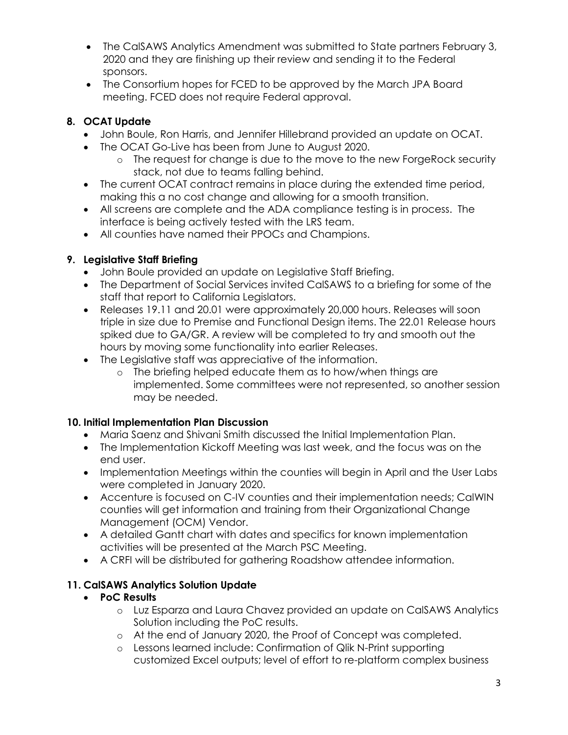- The CalSAWS Analytics Amendment was submitted to State partners February 3, 2020 and they are finishing up their review and sending it to the Federal sponsors.
- The Consortium hopes for FCED to be approved by the March JPA Board meeting. FCED does not require Federal approval.

## **8. OCAT Update**

- John Boule, Ron Harris, and Jennifer Hillebrand provided an update on OCAT.
- The OCAT Go-Live has been from June to August 2020.
	- o The request for change is due to the move to the new ForgeRock security stack, not due to teams falling behind.
- The current OCAT contract remains in place during the extended time period, making this a no cost change and allowing for a smooth transition.
- All screens are complete and the ADA compliance testing is in process. The interface is being actively tested with the LRS team.
- All counties have named their PPOCs and Champions.

# **9. Legislative Staff Briefing**

- John Boule provided an update on Legislative Staff Briefing.
- The Department of Social Services invited CalSAWS to a briefing for some of the staff that report to California Legislators.
- Releases 19.11 and 20.01 were approximately 20,000 hours. Releases will soon triple in size due to Premise and Functional Design items. The 22.01 Release hours spiked due to GA/GR. A review will be completed to try and smooth out the hours by moving some functionality into earlier Releases.
- The Legislative staff was appreciative of the information.
	- o The briefing helped educate them as to how/when things are implemented. Some committees were not represented, so another session may be needed.

# **10. Initial Implementation Plan Discussion**

- Maria Saenz and Shivani Smith discussed the Initial Implementation Plan.
- The Implementation Kickoff Meeting was last week, and the focus was on the end user.
- Implementation Meetings within the counties will begin in April and the User Labs were completed in January 2020.
- Accenture is focused on C-IV counties and their implementation needs; CalWIN counties will get information and training from their Organizational Change Management (OCM) Vendor.
- A detailed Gantt chart with dates and specifics for known implementation activities will be presented at the March PSC Meeting.
- A CRFI will be distributed for gathering Roadshow attendee information.

# **11. CalSAWS Analytics Solution Update**

# • **PoC Results**

- o Luz Esparza and Laura Chavez provided an update on CalSAWS Analytics Solution including the PoC results.
- o At the end of January 2020, the Proof of Concept was completed.
- o Lessons learned include: Confirmation of Qlik N-Print supporting customized Excel outputs; level of effort to re-platform complex business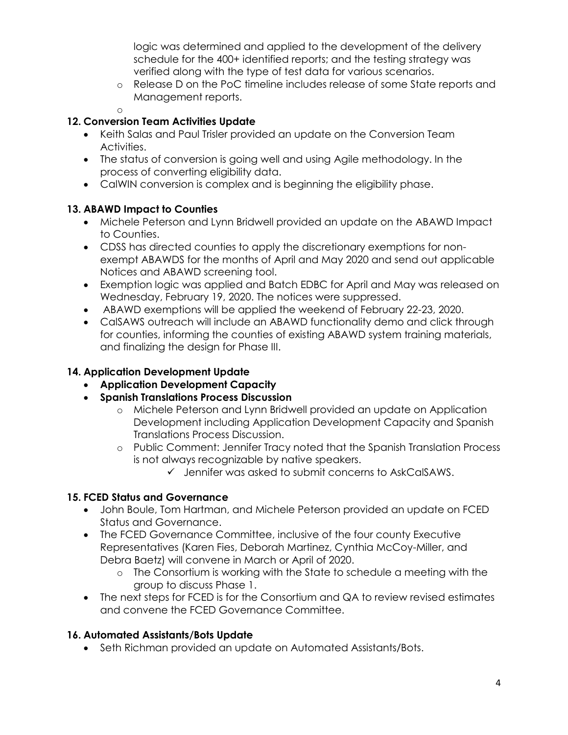logic was determined and applied to the development of the delivery schedule for the 400+ identified reports; and the testing strategy was verified along with the type of test data for various scenarios.

- o Release D on the PoC timeline includes release of some State reports and Management reports.
- o

### **12. Conversion Team Activities Update**

- Keith Salas and Paul Trisler provided an update on the Conversion Team Activities.
- The status of conversion is going well and using Agile methodology. In the process of converting eligibility data.
- CalWIN conversion is complex and is beginning the eligibility phase.

#### **13. ABAWD Impact to Counties**

- Michele Peterson and Lynn Bridwell provided an update on the ABAWD Impact to Counties.
- CDSS has directed counties to apply the discretionary exemptions for nonexempt ABAWDS for the months of April and May 2020 and send out applicable Notices and ABAWD screening tool.
- Exemption logic was applied and Batch EDBC for April and May was released on Wednesday, February 19, 2020. The notices were suppressed.
- ABAWD exemptions will be applied the weekend of February 22-23, 2020.
- CalSAWS outreach will include an ABAWD functionality demo and click through for counties, informing the counties of existing ABAWD system training materials, and finalizing the design for Phase III.

### **14. Application Development Update**

- **Application Development Capacity**
- **Spanish Translations Process Discussion**
	- o Michele Peterson and Lynn Bridwell provided an update on Application Development including Application Development Capacity and Spanish Translations Process Discussion.
	- o Public Comment: Jennifer Tracy noted that the Spanish Translation Process is not always recognizable by native speakers.
		- ✓ Jennifer was asked to submit concerns to AskCalSAWS.

## **15. FCED Status and Governance**

- John Boule, Tom Hartman, and Michele Peterson provided an update on FCED Status and Governance.
- The FCED Governance Committee, inclusive of the four county Executive Representatives (Karen Fies, Deborah Martinez, Cynthia McCoy-Miller, and Debra Baetz) will convene in March or April of 2020.
	- o The Consortium is working with the State to schedule a meeting with the group to discuss Phase 1.
- The next steps for FCED is for the Consortium and QA to review revised estimates and convene the FCED Governance Committee.

## **16. Automated Assistants/Bots Update**

• Seth Richman provided an update on Automated Assistants/Bots.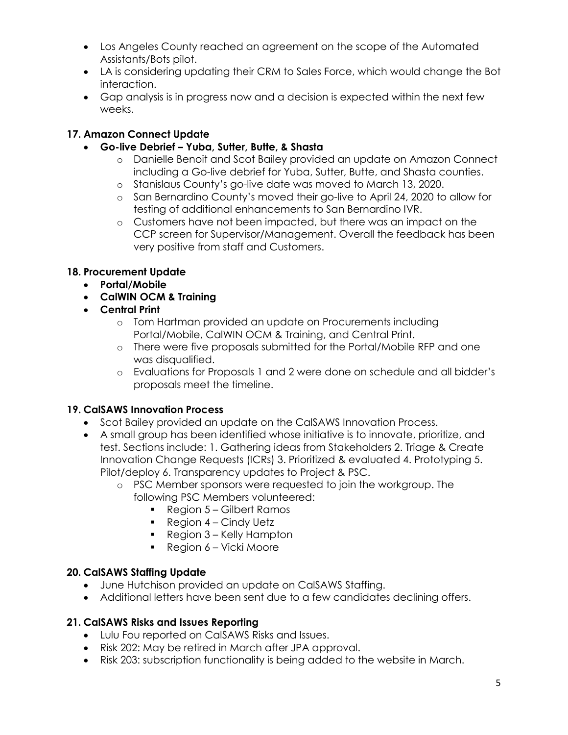- Los Angeles County reached an agreement on the scope of the Automated Assistants/Bots pilot.
- LA is considering updating their CRM to Sales Force, which would change the Bot interaction.
- Gap analysis is in progress now and a decision is expected within the next few weeks.

## **17. Amazon Connect Update**

- **Go-live Debrief – Yuba, Sutter, Butte, & Shasta**
	- o Danielle Benoit and Scot Bailey provided an update on Amazon Connect including a Go-live debrief for Yuba, Sutter, Butte, and Shasta counties.
	- o Stanislaus County's go-live date was moved to March 13, 2020.
	- o San Bernardino County's moved their go-live to April 24, 2020 to allow for testing of additional enhancements to San Bernardino IVR.
	- o Customers have not been impacted, but there was an impact on the CCP screen for Supervisor/Management. Overall the feedback has been very positive from staff and Customers.

## **18. Procurement Update**

- **Portal/Mobile**
- **CalWIN OCM & Training**
- **Central Print**
	- o Tom Hartman provided an update on Procurements including Portal/Mobile, CalWIN OCM & Training, and Central Print.
	- o There were five proposals submitted for the Portal/Mobile RFP and one was disqualified.
	- o Evaluations for Proposals 1 and 2 were done on schedule and all bidder's proposals meet the timeline.

#### **19. CalSAWS Innovation Process**

- Scot Bailey provided an update on the CalSAWS Innovation Process.
- A small group has been identified whose initiative is to innovate, prioritize, and test. Sections include: 1. Gathering ideas from Stakeholders 2. Triage & Create Innovation Change Requests (ICRs) 3. Prioritized & evaluated 4. Prototyping 5. Pilot/deploy 6. Transparency updates to Project & PSC.
	- o PSC Member sponsors were requested to join the workgroup. The following PSC Members volunteered:
		- Region 5 Gilbert Ramos
		- $\blacksquare$  Region 4 Cindy Uetz
		- Region 3 Kelly Hampton
		- Region 6 Vicki Moore

#### **20. CalSAWS Staffing Update**

- June Hutchison provided an update on CalSAWS Staffing.
- Additional letters have been sent due to a few candidates declining offers.

## **21. CalSAWS Risks and Issues Reporting**

- Lulu Fou reported on CalSAWS Risks and Issues.
- Risk 202: May be retired in March after JPA approval.
- Risk 203: subscription functionality is being added to the website in March.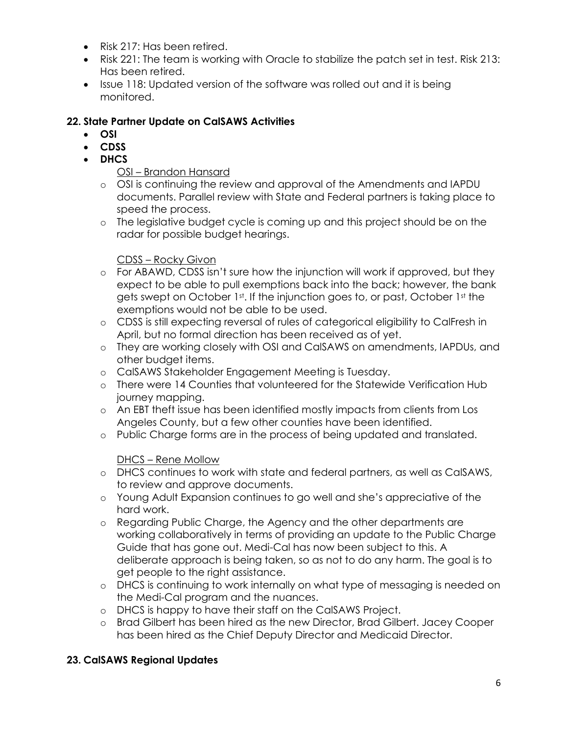- Risk 217: Has been retired.
- Risk 221: The team is working with Oracle to stabilize the patch set in test. Risk 213: Has been retired.
- Issue 118: Updated version of the software was rolled out and it is being monitored.

### **22. State Partner Update on CalSAWS Activities**

- **OSI**
- **CDSS**
- **DHCS**

#### OSI – Brandon Hansard

- o OSI is continuing the review and approval of the Amendments and IAPDU documents. Parallel review with State and Federal partners is taking place to speed the process.
- o The legislative budget cycle is coming up and this project should be on the radar for possible budget hearings.

#### CDSS – Rocky Givon

- o For ABAWD, CDSS isn't sure how the injunction will work if approved, but they expect to be able to pull exemptions back into the back; however, the bank gets swept on October 1st. If the injunction goes to, or past, October 1st the exemptions would not be able to be used.
- o CDSS is still expecting reversal of rules of categorical eligibility to CalFresh in April, but no formal direction has been received as of yet.
- o They are working closely with OSI and CalSAWS on amendments, IAPDUs, and other budget items.
- o CalSAWS Stakeholder Engagement Meeting is Tuesday.
- o There were 14 Counties that volunteered for the Statewide Verification Hub journey mapping.
- o An EBT theft issue has been identified mostly impacts from clients from Los Angeles County, but a few other counties have been identified.
- o Public Charge forms are in the process of being updated and translated.

#### DHCS – Rene Mollow

- o DHCS continues to work with state and federal partners, as well as CalSAWS, to review and approve documents.
- o Young Adult Expansion continues to go well and she's appreciative of the hard work.
- o Regarding Public Charge, the Agency and the other departments are working collaboratively in terms of providing an update to the Public Charge Guide that has gone out. Medi-Cal has now been subject to this. A deliberate approach is being taken, so as not to do any harm. The goal is to get people to the right assistance.
- o DHCS is continuing to work internally on what type of messaging is needed on the Medi-Cal program and the nuances.
- o DHCS is happy to have their staff on the CalSAWS Project.
- o Brad Gilbert has been hired as the new Director, Brad Gilbert. Jacey Cooper has been hired as the Chief Deputy Director and Medicaid Director.

## **23. CalSAWS Regional Updates**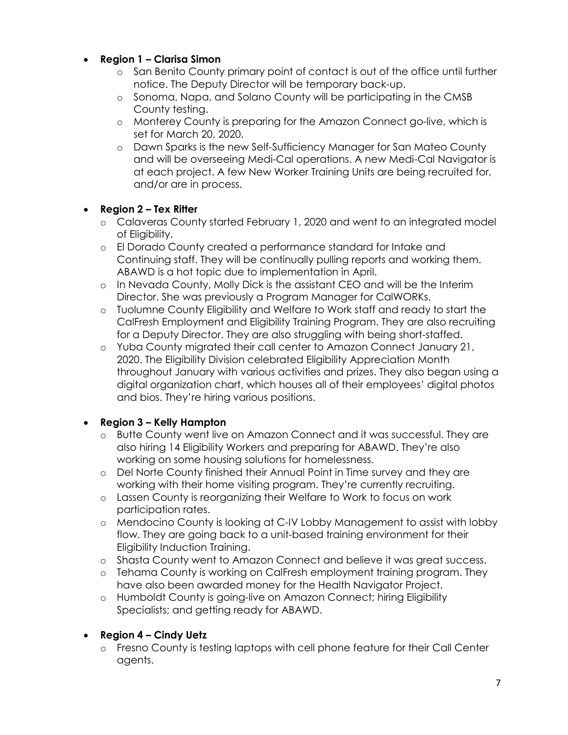- **Region 1 – Clarisa Simon**
	- o San Benito County primary point of contact is out of the office until further notice. The Deputy Director will be temporary back-up.
	- o Sonoma, Napa, and Solano County will be participating in the CMSB County testing.
	- o Monterey County is preparing for the Amazon Connect go-live, which is set for March 20, 2020.
	- o Dawn Sparks is the new Self-Sufficiency Manager for San Mateo County and will be overseeing Medi-Cal operations. A new Medi-Cal Navigator is at each project. A few New Worker Training Units are being recruited for, and/or are in process.

## • **Region 2 – Tex Ritter**

- o Calaveras County started February 1, 2020 and went to an integrated model of Eligibility.
- o El Dorado County created a performance standard for Intake and Continuing staff. They will be continually pulling reports and working them. ABAWD is a hot topic due to implementation in April.
- o In Nevada County, Molly Dick is the assistant CEO and will be the Interim Director. She was previously a Program Manager for CalWORKs.
- o Tuolumne County Eligibility and Welfare to Work staff and ready to start the CalFresh Employment and Eligibility Training Program. They are also recruiting for a Deputy Director. They are also struggling with being short-staffed.
- o Yuba County migrated their call center to Amazon Connect January 21, 2020. The Eligibility Division celebrated Eligibility Appreciation Month throughout January with various activities and prizes. They also began using a digital organization chart, which houses all of their employees' digital photos and bios. They're hiring various positions.

#### • **Region 3 – Kelly Hampton**

- o Butte County went live on Amazon Connect and it was successful. They are also hiring 14 Eligibility Workers and preparing for ABAWD. They're also working on some housing solutions for homelessness.
- o Del Norte County finished their Annual Point in Time survey and they are working with their home visiting program. They're currently recruiting.
- o Lassen County is reorganizing their Welfare to Work to focus on work participation rates.
- o Mendocino County is looking at C-IV Lobby Management to assist with lobby flow. They are going back to a unit-based training environment for their Eligibility Induction Training.
- o Shasta County went to Amazon Connect and believe it was great success.
- o Tehama County is working on CalFresh employment training program. They have also been awarded money for the Health Navigator Project.
- o Humboldt County is going-live on Amazon Connect; hiring Eligibility Specialists; and getting ready for ABAWD.

## • **Region 4 – Cindy Uetz**

o Fresno County is testing laptops with cell phone feature for their Call Center agents.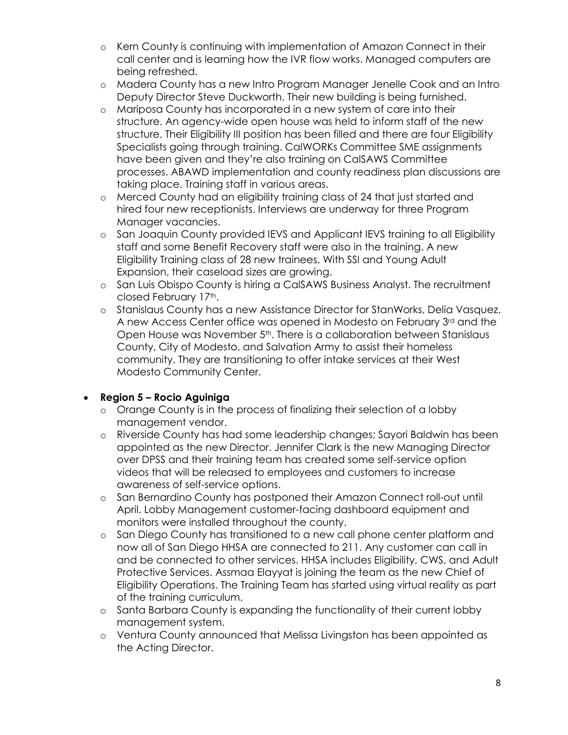- o Kern County is continuing with implementation of Amazon Connect in their call center and is learning how the IVR flow works. Managed computers are being refreshed.
- o Madera County has a new Intro Program Manager Jenelle Cook and an Intro Deputy Director Steve Duckworth. Their new building is being furnished.
- o Mariposa County has incorporated in a new system of care into their structure. An agency-wide open house was held to inform staff of the new structure. Their Eligibility III position has been filled and there are four Eligibility Specialists going through training. CalWORKs Committee SME assignments have been given and they're also training on CalSAWS Committee processes. ABAWD implementation and county readiness plan discussions are taking place. Training staff in various areas.
- o Merced County had an eligibility training class of 24 that just started and hired four new receptionists. Interviews are underway for three Program Manager vacancies.
- o San Joaquin County provided IEVS and Applicant IEVS training to all Eligibility staff and some Benefit Recovery staff were also in the training. A new Eligibility Training class of 28 new trainees. With SSI and Young Adult Expansion, their caseload sizes are growing.
- o San Luis Obispo County is hiring a CalSAWS Business Analyst. The recruitment closed February 17th.
- o Stanislaus County has a new Assistance Director for StanWorks, Delia Vasquez. A new Access Center office was opened in Modesto on February 3rd and the Open House was November 5<sup>th</sup>. There is a collaboration between Stanislaus County, City of Modesto, and Salvation Army to assist their homeless community. They are transitioning to offer intake services at their West Modesto Community Center.

## • **Region 5 – Rocio Aguiniga**

- o Orange County is in the process of finalizing their selection of a lobby management vendor.
- o Riverside County has had some leadership changes; Sayori Baldwin has been appointed as the new Director. Jennifer Clark is the new Managing Director over DPSS and their training team has created some self-service option videos that will be released to employees and customers to increase awareness of self-service options.
- o San Bernardino County has postponed their Amazon Connect roll-out until April. Lobby Management customer-facing dashboard equipment and monitors were installed throughout the county.
- o San Diego County has transitioned to a new call phone center platform and now all of San Diego HHSA are connected to 211. Any customer can call in and be connected to other services. HHSA includes Eligibility, CWS, and Adult Protective Services. Assmaa Elayyat is joining the team as the new Chief of Eligibility Operations. The Training Team has started using virtual reality as part of the training curriculum.
- o Santa Barbara County is expanding the functionality of their current lobby management system.
- o Ventura County announced that Melissa Livingston has been appointed as the Acting Director.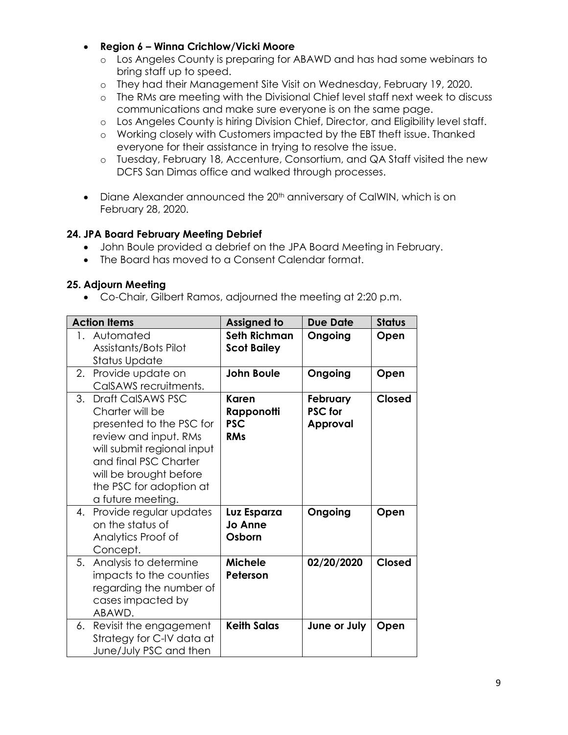- **Region 6 – Winna Crichlow/Vicki Moore**
	- o Los Angeles County is preparing for ABAWD and has had some webinars to bring staff up to speed.
	- o They had their Management Site Visit on Wednesday, February 19, 2020.
	- o The RMs are meeting with the Divisional Chief level staff next week to discuss communications and make sure everyone is on the same page.
	- o Los Angeles County is hiring Division Chief, Director, and Eligibility level staff.
	- o Working closely with Customers impacted by the EBT theft issue. Thanked everyone for their assistance in trying to resolve the issue.
	- o Tuesday, February 18, Accenture, Consortium, and QA Staff visited the new DCFS San Dimas office and walked through processes.
- Diane Alexander announced the 20<sup>th</sup> anniversary of CalWIN, which is on February 28, 2020.

#### **24. JPA Board February Meeting Debrief**

- John Boule provided a debrief on the JPA Board Meeting in February.
- The Board has moved to a Consent Calendar format.

#### **25. Adjourn Meeting**

• Co-Chair, Gilbert Ramos, adjourned the meeting at 2:20 p.m.

| <b>Action Items</b> |                                                                                                                                                                                                                               | <b>Assigned to</b>                              | <b>Due Date</b>                               | <b>Status</b> |
|---------------------|-------------------------------------------------------------------------------------------------------------------------------------------------------------------------------------------------------------------------------|-------------------------------------------------|-----------------------------------------------|---------------|
| $1 \quad$           | Automated<br>Assistants/Bots Pilot<br>Status Update                                                                                                                                                                           | <b>Seth Richman</b><br><b>Scot Bailey</b>       | Ongoing                                       | Open          |
|                     | 2. Provide update on<br>CalSAWS recruitments.                                                                                                                                                                                 | <b>John Boule</b>                               | Ongoing                                       | Open          |
|                     | 3. Draft CalSAWS PSC<br>Charter will be<br>presented to the PSC for<br>review and input. RMs<br>will submit regional input<br>and final PSC Charter<br>will be brought before<br>the PSC for adoption at<br>a future meeting. | Karen<br>Rapponotti<br><b>PSC</b><br><b>RMs</b> | February<br><b>PSC</b> for<br><b>Approval</b> | <b>Closed</b> |
|                     | 4. Provide regular updates<br>on the status of<br>Analytics Proof of<br>Concept.                                                                                                                                              | Luz Esparza<br>Jo Anne<br>Osborn                | Ongoing                                       | Open          |
|                     | 5. Analysis to determine<br>impacts to the counties<br>regarding the number of<br>cases impacted by<br>ABAWD.                                                                                                                 | <b>Michele</b><br>Peterson                      | 02/20/2020                                    | Closed        |
| 6.                  | Revisit the engagement<br>Strategy for C-IV data at<br>June/July PSC and then                                                                                                                                                 | <b>Keith Salas</b>                              | June or July                                  | Open          |